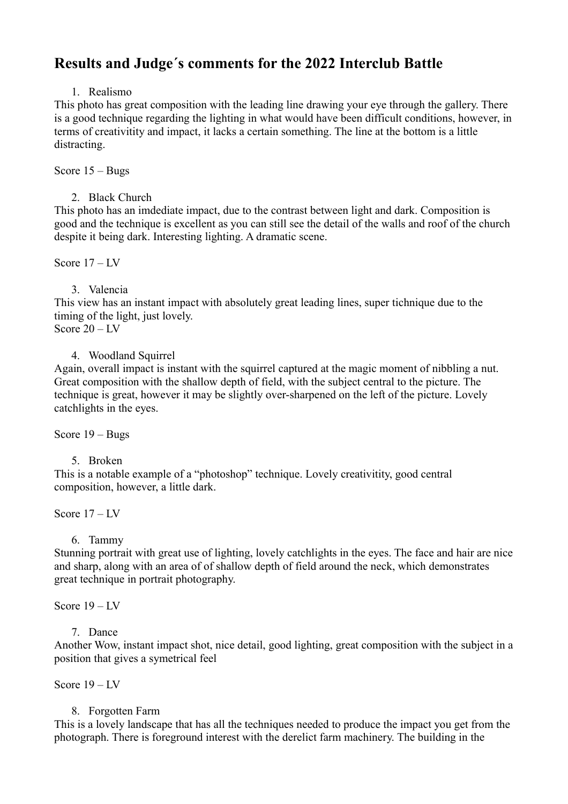# **Results and Judge´s comments for the 2022 Interclub Battle**

# 1. Realismo

This photo has great composition with the leading line drawing your eye through the gallery. There is a good technique regarding the lighting in what would have been difficult conditions, however, in terms of creativitity and impact, it lacks a certain something. The line at the bottom is a little distracting.

Score 15 – Bugs

## 2. Black Church

This photo has an imdediate impact, due to the contrast between light and dark. Composition is good and the technique is excellent as you can still see the detail of the walls and roof of the church despite it being dark. Interesting lighting. A dramatic scene.

Score 17 – LV

# 3. Valencia

This view has an instant impact with absolutely great leading lines, super tichnique due to the timing of the light, just lovely.

Score 20 – LV

## 4. Woodland Squirrel

Again, overall impact is instant with the squirrel captured at the magic moment of nibbling a nut. Great composition with the shallow depth of field, with the subject central to the picture. The technique is great, however it may be slightly over-sharpened on the left of the picture. Lovely catchlights in the eyes.

Score 19 – Bugs

# 5. Broken

This is a notable example of a "photoshop" technique. Lovely creativitity, good central composition, however, a little dark.

Score 17 – LV

## 6. Tammy

Stunning portrait with great use of lighting, lovely catchlights in the eyes. The face and hair are nice and sharp, along with an area of of shallow depth of field around the neck, which demonstrates great technique in portrait photography.

Score 19 – LV

## 7. Dance

Another Wow, instant impact shot, nice detail, good lighting, great composition with the subject in a position that gives a symetrical feel

Score 19 – LV

# 8. Forgotten Farm

This is a lovely landscape that has all the techniques needed to produce the impact you get from the photograph. There is foreground interest with the derelict farm machinery. The building in the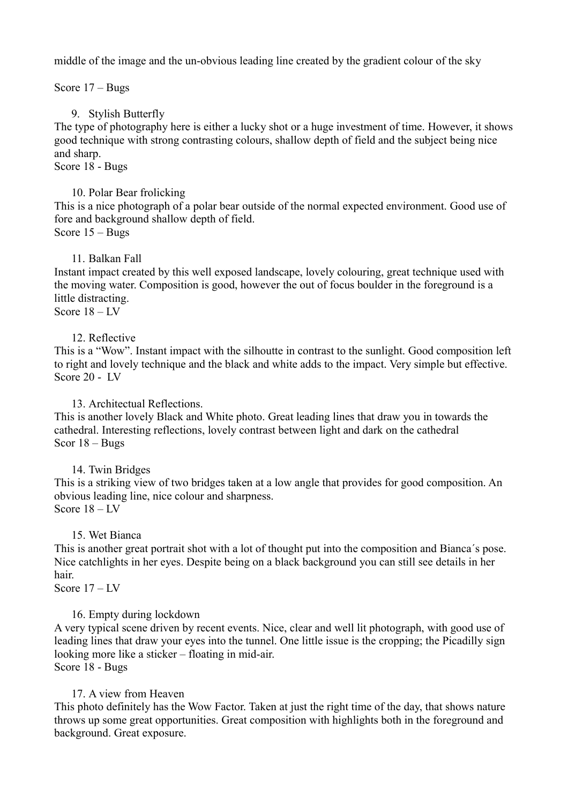middle of the image and the un-obvious leading line created by the gradient colour of the sky

Score 17 – Bugs

#### 9. Stylish Butterfly

The type of photography here is either a lucky shot or a huge investment of time. However, it shows good technique with strong contrasting colours, shallow depth of field and the subject being nice and sharp.

Score 18 - Bugs

#### 10. Polar Bear frolicking

This is a nice photograph of a polar bear outside of the normal expected environment. Good use of fore and background shallow depth of field. Score 15 – Bugs

## 11. Balkan Fall

Instant impact created by this well exposed landscape, lovely colouring, great technique used with the moving water. Composition is good, however the out of focus boulder in the foreground is a little distracting. Score 18 – LV

12. Reflective

This is a "Wow". Instant impact with the silhoutte in contrast to the sunlight. Good composition left to right and lovely technique and the black and white adds to the impact. Very simple but effective. Score 20 - LV

13. Architectual Reflections.

This is another lovely Black and White photo. Great leading lines that draw you in towards the cathedral. Interesting reflections, lovely contrast between light and dark on the cathedral Scor 18 – Bugs

14. Twin Bridges

This is a striking view of two bridges taken at a low angle that provides for good composition. An obvious leading line, nice colour and sharpness. Score 18 – LV

#### 15. Wet Bianca

This is another great portrait shot with a lot of thought put into the composition and Bianca´s pose. Nice catchlights in her eyes. Despite being on a black background you can still see details in her hair.

Score 17 – LV

## 16. Empty during lockdown

A very typical scene driven by recent events. Nice, clear and well lit photograph, with good use of leading lines that draw your eyes into the tunnel. One little issue is the cropping; the Picadilly sign looking more like a sticker – floating in mid-air. Score 18 - Bugs

17. A view from Heaven

This photo definitely has the Wow Factor. Taken at just the right time of the day, that shows nature throws up some great opportunities. Great composition with highlights both in the foreground and background. Great exposure.